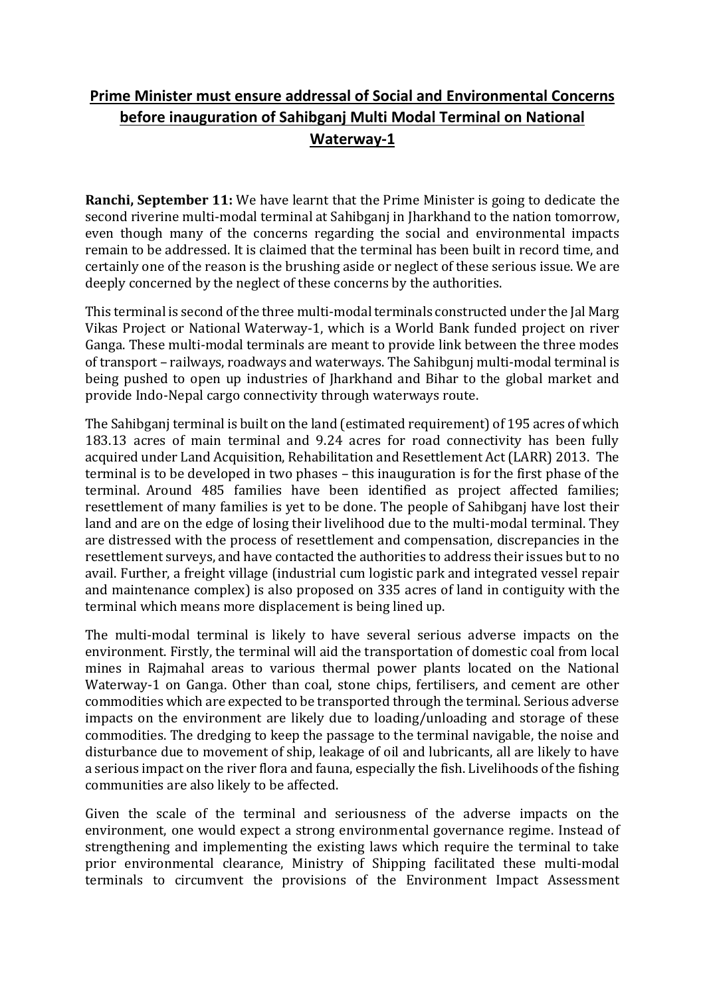## **Prime Minister must ensure addressal of Social and Environmental Concerns before inauguration of Sahibganj Multi Modal Terminal on National Waterway-1**

**Ranchi, September 11:** We have learnt that the Prime Minister is going to dedicate the second riverine multi-modal terminal at Sahibganj in Jharkhand to the nation tomorrow, even though many of the concerns regarding the social and environmental impacts remain to be addressed. It is claimed that the terminal has been built in record time, and certainly one of the reason is the brushing aside or neglect of these serious issue. We are deeply concerned by the neglect of these concerns by the authorities.

This terminal is second of the three multi-modal terminals constructed under the Jal Marg Vikas Project or National Waterway-1, which is a World Bank funded project on river Ganga. These multi-modal terminals are meant to provide link between the three modes of transport – railways, roadways and waterways. The Sahibgunj multi-modal terminal is being pushed to open up industries of Jharkhand and Bihar to the global market and provide Indo-Nepal cargo connectivity through waterways route.

The Sahibganj terminal is built on the land (estimated requirement) of 195 acres of which 183.13 acres of main terminal and 9.24 acres for road connectivity has been fully acquired under Land Acquisition, Rehabilitation and Resettlement Act (LARR) 2013. The terminal is to be developed in two phases – this inauguration is for the first phase of the terminal. Around 485 families have been identified as project affected families; resettlement of many families is yet to be done. The people of Sahibganj have lost their land and are on the edge of losing their livelihood due to the multi-modal terminal. They are distressed with the process of resettlement and compensation, discrepancies in the resettlement surveys, and have contacted the authorities to address their issues but to no avail. Further, a freight village (industrial cum logistic park and integrated vessel repair and maintenance complex) is also proposed on 335 acres of land in contiguity with the terminal which means more displacement is being lined up.

The multi-modal terminal is likely to have several serious adverse impacts on the environment. Firstly, the terminal will aid the transportation of domestic coal from local mines in Rajmahal areas to various thermal power plants located on the National Waterway-1 on Ganga. Other than coal, stone chips, fertilisers, and cement are other commodities which are expected to be transported through the terminal. Serious adverse impacts on the environment are likely due to loading/unloading and storage of these commodities. The dredging to keep the passage to the terminal navigable, the noise and disturbance due to movement of ship, leakage of oil and lubricants, all are likely to have a serious impact on the river flora and fauna, especially the fish. Livelihoods of the fishing communities are also likely to be affected.

Given the scale of the terminal and seriousness of the adverse impacts on the environment, one would expect a strong environmental governance regime. Instead of strengthening and implementing the existing laws which require the terminal to take prior environmental clearance, Ministry of Shipping facilitated these multi-modal terminals to circumvent the provisions of the Environment Impact Assessment